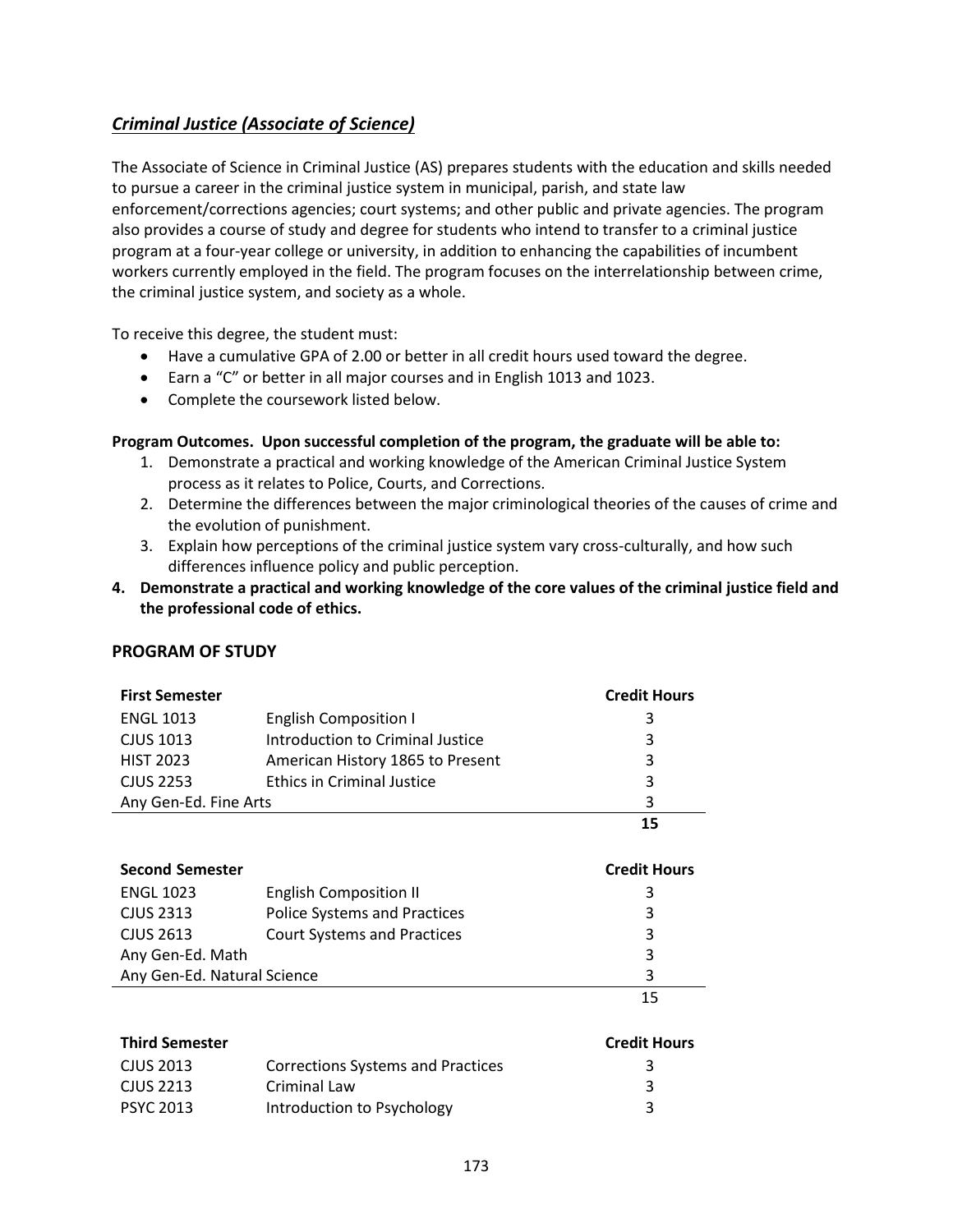## *Criminal Justice (Associate of Science)*

The Associate of Science in Criminal Justice (AS) prepares students with the education and skills needed to pursue a career in the criminal justice system in municipal, parish, and state law enforcement/corrections agencies; court systems; and other public and private agencies. The program also provides a course of study and degree for students who intend to transfer to a criminal justice program at a four-year college or university, in addition to enhancing the capabilities of incumbent workers currently employed in the field. The program focuses on the interrelationship between crime, the criminal justice system, and society as a whole.

To receive this degree, the student must:

- Have a cumulative GPA of 2.00 or better in all credit hours used toward the degree.
- Earn a "C" or better in all major courses and in English 1013 and 1023.
- Complete the coursework listed below.

## **Program Outcomes. Upon successful completion of the program, the graduate will be able to:**

- 1. Demonstrate a practical and working knowledge of the American Criminal Justice System process as it relates to Police, Courts, and Corrections.
- 2. Determine the differences between the major criminological theories of the causes of crime and the evolution of punishment.
- 3. Explain how perceptions of the criminal justice system vary cross-culturally, and how such differences influence policy and public perception.
- **4. Demonstrate a practical and working knowledge of the core values of the criminal justice field and the professional code of ethics.**

## **PROGRAM OF STUDY**

| <b>First Semester</b> |                                   | <b>Credit Hours</b> |
|-----------------------|-----------------------------------|---------------------|
| <b>ENGL 1013</b>      | <b>English Composition I</b>      | 3                   |
| CJUS 1013             | Introduction to Criminal Justice  | 3                   |
| <b>HIST 2023</b>      | American History 1865 to Present  | 3                   |
| <b>CJUS 2253</b>      | <b>Ethics in Criminal Justice</b> | 3                   |
| Any Gen-Ed. Fine Arts |                                   | 3                   |
|                       |                                   | 15                  |

| <b>Second Semester</b>      |                                     | <b>Credit Hours</b> |
|-----------------------------|-------------------------------------|---------------------|
| <b>ENGL 1023</b>            | <b>English Composition II</b>       | 3                   |
| CJUS 2313                   | <b>Police Systems and Practices</b> | 3                   |
| CJUS 2613                   | <b>Court Systems and Practices</b>  | 3                   |
| Any Gen-Ed. Math            |                                     | 3                   |
| Any Gen-Ed. Natural Science |                                     | 3                   |
|                             |                                     | 15                  |

| <b>Third Semester</b> |                                          | <b>Credit Hours</b> |
|-----------------------|------------------------------------------|---------------------|
| CJUS 2013             | <b>Corrections Systems and Practices</b> | 3                   |
| CJUS 2213             | Criminal Law                             |                     |
| PSYC 2013             | Introduction to Psychology               |                     |